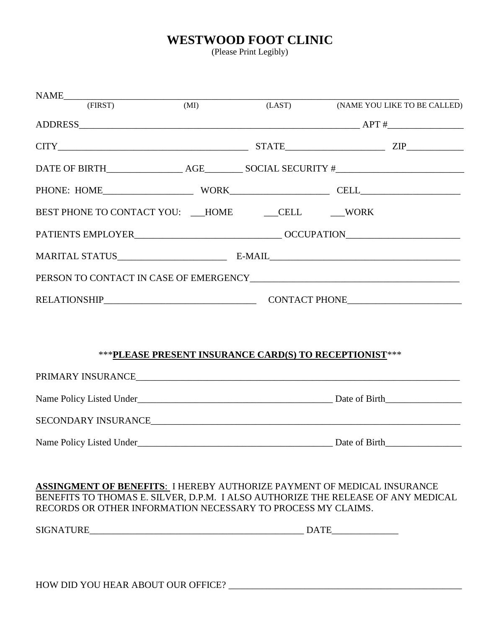## **WESTWOOD FOOT CLINIC**

(Please Print Legibly)

|                                                                         | (MI) |        |                                                                                  |
|-------------------------------------------------------------------------|------|--------|----------------------------------------------------------------------------------|
| (FIRST)                                                                 |      | (LAST) | (NAME YOU LIKE TO BE CALLED)                                                     |
|                                                                         |      |        |                                                                                  |
|                                                                         |      |        | $CITY$ $ZIP$                                                                     |
|                                                                         |      |        |                                                                                  |
|                                                                         |      |        |                                                                                  |
| BEST PHONE TO CONTACT YOU: __HOME ____CELL _____WORK                    |      |        |                                                                                  |
|                                                                         |      |        |                                                                                  |
|                                                                         |      |        |                                                                                  |
|                                                                         |      |        |                                                                                  |
|                                                                         |      |        |                                                                                  |
|                                                                         |      |        |                                                                                  |
|                                                                         |      |        |                                                                                  |
|                                                                         |      |        | ***PLEASE PRESENT INSURANCE CARD(S) TO RECEPTIONIST***                           |
|                                                                         |      |        |                                                                                  |
|                                                                         |      |        |                                                                                  |
|                                                                         |      |        |                                                                                  |
| Name Policy Listed Under                                                |      |        | Date of Birth                                                                    |
|                                                                         |      |        |                                                                                  |
| ASSINGMENT OF BENEFITS: I HEREBY AUTHORIZE PAYMENT OF MEDICAL INSURANCE |      |        |                                                                                  |
| RECORDS OR OTHER INFORMATION NECESSARY TO PROCESS MY CLAIMS.            |      |        | BENEFITS TO THOMAS E. SILVER, D.P.M. I ALSO AUTHORIZE THE RELEASE OF ANY MEDICAL |

 $\small \texttt{SGNATURE}\normalsize \begin{tabular}{@{}c@{}} \texttt{SIGNATURE}\normalsize \end{tabular} \normalsize \begin{tabular}{@{}c@{}} \texttt{DATE}\normalsize \end{tabular} \normalsize \begin{tabular}{@{}c@{}} \texttt{DATE}\normalsize \end{tabular} \normalsize \begin{tabular}{@{}c@{}} \texttt{DATE}\normalsize \end{tabular} \normalsize \begin{tabular}{@{}c@{}} \texttt{DATE}\normalsize \end{tabular} \normalsize \begin{tabular}{@{}c@{}} \texttt{DATE}\normalsize \end{tabular} \normalsize \begin{tabular}{@{}c@{}} \texttt$ 

HOW DID YOU HEAR ABOUT OUR OFFICE? \_\_\_\_\_\_\_\_\_\_\_\_\_\_\_\_\_\_\_\_\_\_\_\_\_\_\_\_\_\_\_\_\_\_\_\_\_\_\_\_\_\_\_\_\_\_\_\_\_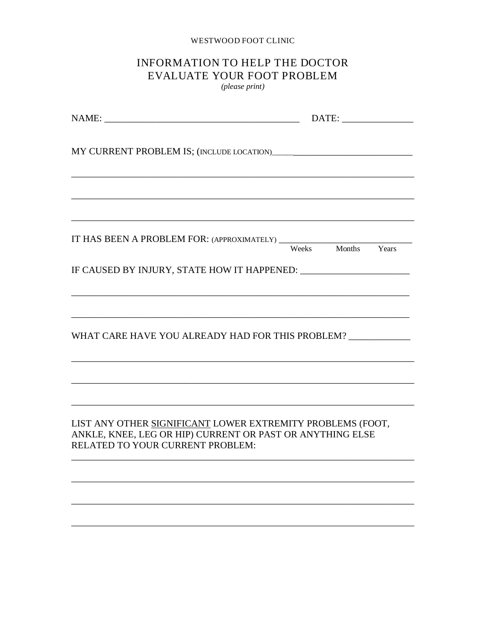#### WESTWOOD FOOT CLINIC

# INFORMATION TO HELP THE DOCTOR EVALUATE YOUR FOOT PROBLEM

(please print)

| IT HAS BEEN A PROBLEM FOR: (APPROXIMATELY) Weeks Months Years                                                                                               |  |  |  |  |
|-------------------------------------------------------------------------------------------------------------------------------------------------------------|--|--|--|--|
|                                                                                                                                                             |  |  |  |  |
| ,我们也不能在这里的时候,我们也不能在这里的时候,我们也不能会在这里的时候,我们也不能会在这里的时候,我们也不能会在这里的时候,我们也不能会在这里的时候,我们也                                                                            |  |  |  |  |
| WHAT CARE HAVE YOU ALREADY HAD FOR THIS PROBLEM? ___________                                                                                                |  |  |  |  |
| ,我们也不会有什么。""我们的人,我们也不会有什么?""我们的人,我们也不会有什么?""我们的人,我们也不会有什么?""我们的人,我们也不会有什么?""我们的人                                                                            |  |  |  |  |
| LIST ANY OTHER SIGNIFICANT LOWER EXTREMITY PROBLEMS (FOOT,<br>ANKLE, KNEE, LEG OR HIP) CURRENT OR PAST OR ANYTHING ELSE<br>RELATED TO YOUR CURRENT PROBLEM: |  |  |  |  |
|                                                                                                                                                             |  |  |  |  |
|                                                                                                                                                             |  |  |  |  |
|                                                                                                                                                             |  |  |  |  |
|                                                                                                                                                             |  |  |  |  |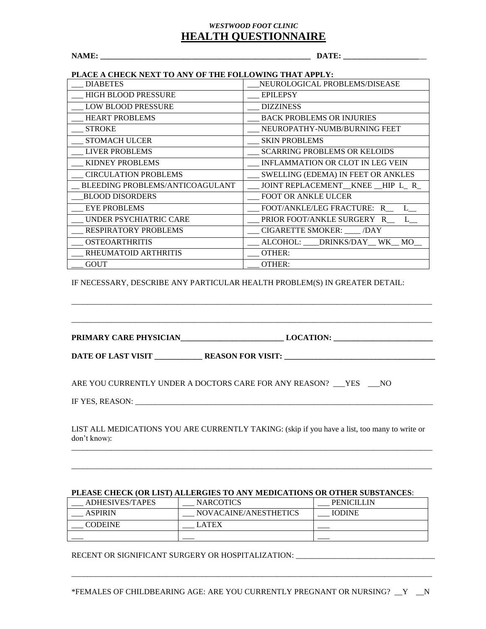### *WESTWOOD FOOT CLINIC* **HEALTH QUESTIONNAIRE**

**NAME: \_\_\_\_\_\_\_\_\_\_\_\_\_\_\_\_\_\_\_\_\_\_\_\_\_\_\_\_\_\_\_\_\_\_\_\_\_\_\_\_\_\_\_\_\_\_\_\_\_\_\_\_\_ DATE: \_\_\_\_\_\_\_\_\_\_\_\_\_\_\_\_\_\_\_**\_\_

### **PLACE A CHECK NEXT TO ANY OF THE FOLLOWING THAT APPLY:**

| <b>DIABETES</b>                 | NEUROLOGICAL PROBLEMS/DISEASE             |  |  |
|---------------------------------|-------------------------------------------|--|--|
|                                 |                                           |  |  |
| <b>HIGH BLOOD PRESSURE</b>      | <b>EPILEPSY</b>                           |  |  |
| <b>LOW BLOOD PRESSURE</b>       | <b>DIZZINESS</b>                          |  |  |
| <b>HEART PROBLEMS</b>           | <b>BACK PROBLEMS OR INJURIES</b>          |  |  |
| <b>STROKE</b>                   | NEUROPATHY-NUMB/BURNING FEET              |  |  |
| <b>STOMACH ULCER</b>            | <b>SKIN PROBLEMS</b>                      |  |  |
| <b>LIVER PROBLEMS</b>           | <b>SCARRING PROBLEMS OR KELOIDS</b>       |  |  |
| <b>KIDNEY PROBLEMS</b>          | <b>INFLAMMATION OR CLOT IN LEG VEIN</b>   |  |  |
| <b>CIRCULATION PROBLEMS</b>     | <b>SWELLING (EDEMA) IN FEET OR ANKLES</b> |  |  |
| BLEEDING PROBLEMS/ANTICOAGULANT | JOINT REPLACEMENT KNEE HIP L R            |  |  |
| <b>BLOOD DISORDERS</b>          | <b>FOOT OR ANKLE ULCER</b>                |  |  |
| <b>EYE PROBLEMS</b>             | FOOT/ANKLE/LEG FRACTURE: R L              |  |  |
| UNDER PSYCHIATRIC CARE          | PRIOR FOOT/ANKLE SURGERY R L              |  |  |
| <b>RESPIRATORY PROBLEMS</b>     | CIGARETTE SMOKER: ____ /DAY               |  |  |
| <b>OSTEOARTHRITIS</b>           | ALCOHOL: DRINKS/DAY WK MO                 |  |  |
| RHEUMATOID ARTHRITIS            | OTHER:                                    |  |  |
| <b>GOUT</b>                     | <b>OTHER:</b>                             |  |  |

IF NECESSARY, DESCRIBE ANY PARTICULAR HEALTH PROBLEM(S) IN GREATER DETAIL:

**PRIMARY CARE PHYSICIAN\_\_\_\_\_\_\_\_\_\_\_\_\_\_\_\_\_\_\_\_\_\_\_\_\_\_ LOCATION: \_\_\_\_\_\_\_\_\_\_\_\_\_\_\_\_\_\_\_\_\_\_\_\_\_ DATE OF LAST VISIT \_\_\_\_\_\_\_\_\_\_\_\_ REASON FOR VISIT: \_\_\_\_\_\_\_\_\_\_\_\_\_\_\_\_\_\_\_\_\_\_\_\_\_\_\_\_\_\_\_\_\_\_\_\_\_\_**

\_\_\_\_\_\_\_\_\_\_\_\_\_\_\_\_\_\_\_\_\_\_\_\_\_\_\_\_\_\_\_\_\_\_\_\_\_\_\_\_\_\_\_\_\_\_\_\_\_\_\_\_\_\_\_\_\_\_\_\_\_\_\_\_\_\_\_\_\_\_\_\_\_\_\_\_\_\_\_\_\_\_\_\_\_\_\_\_\_\_\_

\_\_\_\_\_\_\_\_\_\_\_\_\_\_\_\_\_\_\_\_\_\_\_\_\_\_\_\_\_\_\_\_\_\_\_\_\_\_\_\_\_\_\_\_\_\_\_\_\_\_\_\_\_\_\_\_\_\_\_\_\_\_\_\_\_\_\_\_\_\_\_\_\_\_\_\_\_\_\_\_\_\_\_\_\_\_\_\_\_\_\_

ARE YOU CURRENTLY UNDER A DOCTORS CARE FOR ANY REASON? YES NO

IF YES, REASON:

LIST ALL MEDICATIONS YOU ARE CURRENTLY TAKING: (skip if you have a list, too many to write or don't know):  $\overline{a_1}$  ,  $\overline{a_2}$  ,  $\overline{a_3}$  ,  $\overline{a_4}$  ,  $\overline{a_5}$  ,  $\overline{a_6}$  ,  $\overline{a_7}$  ,  $\overline{a_8}$  ,  $\overline{a_9}$  ,  $\overline{a_9}$  ,  $\overline{a_9}$  ,  $\overline{a_9}$  ,  $\overline{a_9}$  ,  $\overline{a_9}$  ,  $\overline{a_9}$  ,  $\overline{a_9}$  ,  $\overline{a_9}$  ,

\_\_\_\_\_\_\_\_\_\_\_\_\_\_\_\_\_\_\_\_\_\_\_\_\_\_\_\_\_\_\_\_\_\_\_\_\_\_\_\_\_\_\_\_\_\_\_\_\_\_\_\_\_\_\_\_\_\_\_\_\_\_\_\_\_\_\_\_\_\_\_\_\_\_\_\_\_\_\_\_\_\_\_\_\_\_\_\_\_\_\_

#### **PLEASE CHECK (OR LIST) ALLERGIES TO ANY MEDICATIONS OR OTHER SUBSTANCES**:

| ADHESIVES/TAPES | <b>NARCOTICS</b>      | <b>PENICILLIN</b> |
|-----------------|-----------------------|-------------------|
| <b>ASPIRIN</b>  | NOVACAINE/ANESTHETICS | <b>IODINE</b>     |
| <b>CODEINE</b>  | LATEX                 |                   |
|                 |                       |                   |

RECENT OR SIGNIFICANT SURGERY OR HOSPITALIZATION: \_\_\_\_\_\_\_\_\_\_\_\_\_\_\_\_\_\_\_\_\_\_\_\_\_\_\_\_\_\_

\_\_\_\_\_\_\_\_\_\_\_\_\_\_\_\_\_\_\_\_\_\_\_\_\_\_\_\_\_\_\_\_\_\_\_\_\_\_\_\_\_\_\_\_\_\_\_\_\_\_\_\_\_\_\_\_\_\_\_\_\_\_\_\_\_\_\_\_\_\_\_\_\_\_\_\_\_\_\_\_\_\_\_\_\_\_\_\_\_\_\_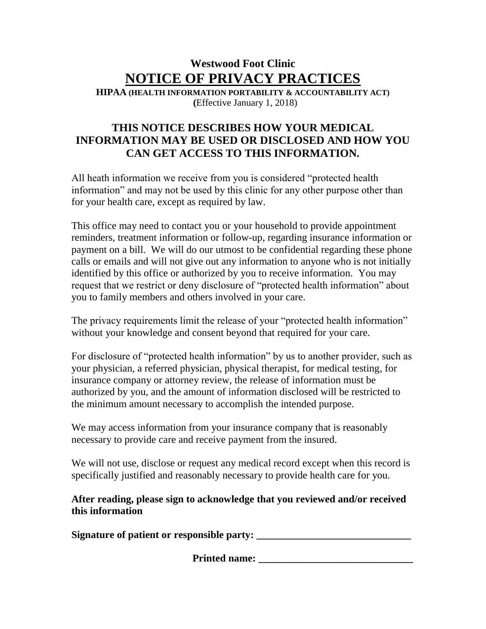# **Westwood Foot Clinic NOTICE OF PRIVACY PRACTICES**

**HIPAA (HEALTH INFORMATION PORTABILITY & ACCOUNTABILITY ACT) (**Effective January 1, 2018)

## **THIS NOTICE DESCRIBES HOW YOUR MEDICAL INFORMATION MAY BE USED OR DISCLOSED AND HOW YOU CAN GET ACCESS TO THIS INFORMATION.**

All heath information we receive from you is considered "protected health information" and may not be used by this clinic for any other purpose other than for your health care, except as required by law.

This office may need to contact you or your household to provide appointment reminders, treatment information or follow-up, regarding insurance information or payment on a bill. We will do our utmost to be confidential regarding these phone calls or emails and will not give out any information to anyone who is not initially identified by this office or authorized by you to receive information. You may request that we restrict or deny disclosure of "protected health information" about you to family members and others involved in your care.

The privacy requirements limit the release of your "protected health information" without your knowledge and consent beyond that required for your care.

For disclosure of "protected health information" by us to another provider, such as your physician, a referred physician, physical therapist, for medical testing, for insurance company or attorney review, the release of information must be authorized by you, and the amount of information disclosed will be restricted to the minimum amount necessary to accomplish the intended purpose.

We may access information from your insurance company that is reasonably necessary to provide care and receive payment from the insured.

We will not use, disclose or request any medical record except when this record is specifically justified and reasonably necessary to provide health care for you.

### **After reading, please sign to acknowledge that you reviewed and/or received this information**

**Signature of patient or responsible party: \_\_\_\_\_\_\_\_\_\_\_\_\_\_\_\_\_\_\_\_\_\_\_\_\_\_\_\_\_\_**

**Printed name:**  $\blacksquare$